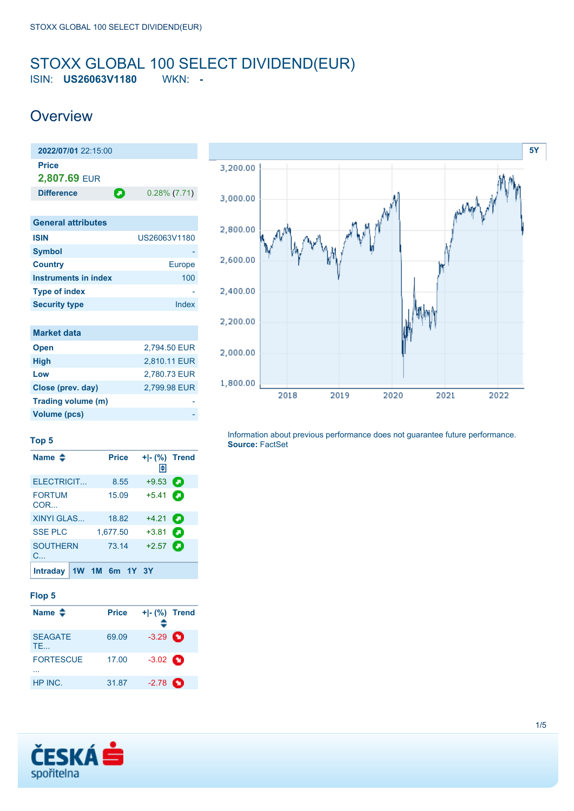### <span id="page-0-0"></span>STOXX GLOBAL 100 SELECT DIVIDEND(EUR) ISIN: **US26063V1180** WKN: **-**

### **Overview**

| $2022/07/01$ 22:15:00        |   |                 |
|------------------------------|---|-----------------|
| <b>Price</b><br>2,807.69 EUR |   |                 |
| <b>Difference</b>            | о | $0.28\%$ (7.71) |
|                              |   |                 |
| <b>General attributes</b>    |   |                 |

| <b>ISIN</b>                 | US26063V1180  |
|-----------------------------|---------------|
| <b>Symbol</b>               |               |
| <b>Country</b>              | <b>Europe</b> |
| <b>Instruments in index</b> | 100           |
| <b>Type of index</b>        |               |
| <b>Security type</b>        | Index         |
|                             |               |
| <b>Market data</b>          |               |
| <b>Open</b>                 | 2,794.50 EUR  |
| <b>High</b>                 | 2,810.11 EUR  |
| Low                         | 2,780.73 EUR  |
| Close (prev. day)           | 2,799.98 EUR  |



**Top 5**

**Trading volume (m) Volume (pcs)** 

| Name $\clubsuit$                | <b>Price</b>   | $+I-(\%)$ Trend<br>Н |   |
|---------------------------------|----------------|----------------------|---|
| ELECTRICIT                      | 8.55           | $+9.53$              | а |
| <b>FORTUM</b><br>COR            | 15.09          | $+5.41$              | а |
| <b>XINYI GLAS</b>               | 18.82          | $+4.21$              | О |
| <b>SSE PLC</b>                  | 1,677.50       | $+3.81$              | а |
| <b>SOUTHERN</b><br>$C_{\cdots}$ | 73.14          | $+2.57$              | а |
| <b>Intraday</b>                 | 1W 1M 6m 1Y 3Y |                      |   |

#### **Flop 5**

| Name $\triangle$            | <b>Price</b> | $+I-(\%)$ Trend   |  |
|-----------------------------|--------------|-------------------|--|
| <b>SEAGATE</b><br><b>TE</b> | 69.09        | $-3.29$ $\bullet$ |  |
| <b>FORTESCUE</b>            | 17.00        | $-3.02$ $\bullet$ |  |
| HP INC.                     | 31.87        | $-2.78$ $\bullet$ |  |



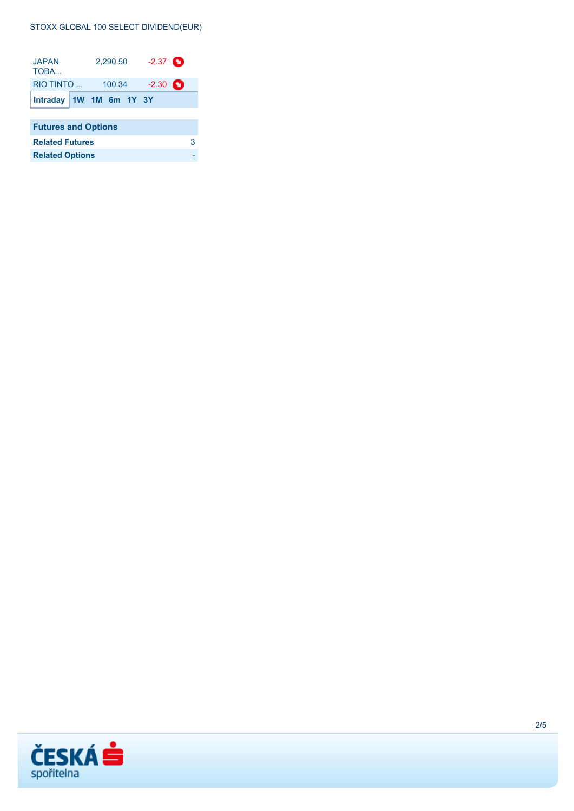#### STOXX GLOBAL 100 SELECT DIVIDEND(EUR)

| <b>JAPAN</b><br>TOBA       |                   | 2,290.50 |         | $-2.37$ $\bullet$ |  |   |  |
|----------------------------|-------------------|----------|---------|-------------------|--|---|--|
|                            | RIO TINTO  100.34 |          | $-2.30$ | o                 |  |   |  |
| Intraday $1W$ 1M 6m 1Y 3Y  |                   |          |         |                   |  |   |  |
|                            |                   |          |         |                   |  |   |  |
| <b>Futures and Options</b> |                   |          |         |                   |  |   |  |
| <b>Related Futures</b>     |                   |          |         |                   |  | з |  |
| <b>Related Options</b>     |                   |          |         |                   |  |   |  |

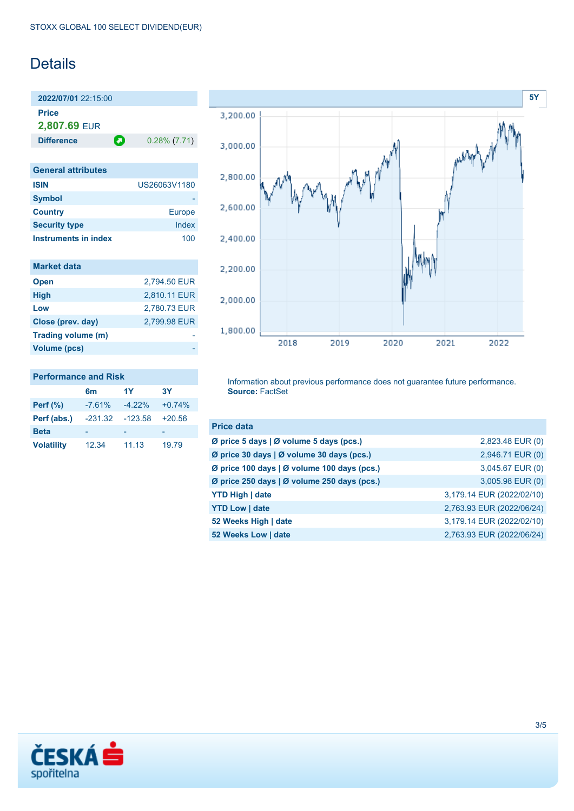## **Details**

**2022/07/01** 22:15:00 **Price 2,807.69** EUR

**Difference 0.28% (7.71)** 

| <b>General attributes</b> |               |
|---------------------------|---------------|
| <b>ISIN</b>               | US26063V1180  |
| <b>Symbol</b>             |               |
| <b>Country</b>            | <b>Europe</b> |
| <b>Security type</b>      | Index         |
| Instruments in index      | 100           |

| <b>Market data</b>  |              |
|---------------------|--------------|
| <b>Open</b>         | 2,794.50 EUR |
| <b>High</b>         | 2,810.11 EUR |
| Low                 | 2,780.73 EUR |
| Close (prev. day)   | 2.799.98 EUR |
| Trading volume (m)  |              |
| <b>Volume (pcs)</b> |              |



## **Performance and Risk**

|                   | 6m        | 1Y        | 3Υ       |
|-------------------|-----------|-----------|----------|
| <b>Perf</b> (%)   | $-7.61%$  | $-4.22%$  | $+0.74%$ |
| Perf (abs.)       | $-231.32$ | $-123.58$ | $+20.56$ |
| <b>Beta</b>       |           |           |          |
| <b>Volatility</b> | 12.34     | 11.13     | 19.79    |

Information about previous performance does not guarantee future performance. **Source:** FactSet

| <b>Price data</b>                           |                           |
|---------------------------------------------|---------------------------|
| Ø price 5 days   Ø volume 5 days (pcs.)     | 2,823.48 EUR (0)          |
| Ø price 30 days   Ø volume 30 days (pcs.)   | 2,946.71 EUR (0)          |
| Ø price 100 days   Ø volume 100 days (pcs.) | 3,045.67 EUR (0)          |
| Ø price 250 days   Ø volume 250 days (pcs.) | 3,005.98 EUR (0)          |
| <b>YTD High   date</b>                      | 3,179.14 EUR (2022/02/10) |
| <b>YTD Low   date</b>                       | 2,763.93 EUR (2022/06/24) |
| 52 Weeks High   date                        | 3,179.14 EUR (2022/02/10) |
| 52 Weeks Low   date                         | 2,763.93 EUR (2022/06/24) |

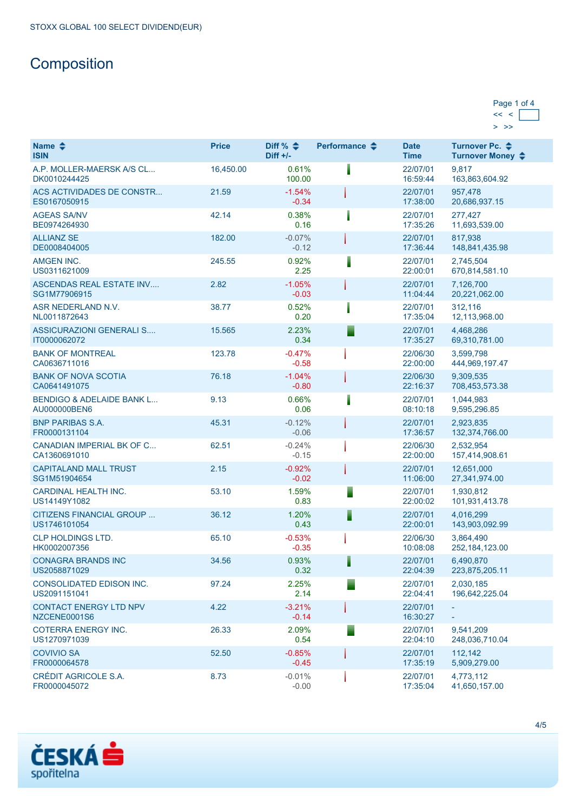# **Composition**

| Page 1 of 4 |  |
|-------------|--|
|             |  |
|             |  |

| Name $\triangle$<br><b>ISIN</b>                      | <b>Price</b> | Diff % $\triangleq$<br>$Diff +/-$ | Performance $\triangle$ | <b>Date</b><br><b>Time</b> | Turnover Pc. ♦<br>Turnover Money ♦ |
|------------------------------------------------------|--------------|-----------------------------------|-------------------------|----------------------------|------------------------------------|
| A.P. MOLLER-MAERSK A/S CL<br>DK0010244425            | 16,450.00    | 0.61%<br>100.00                   |                         | 22/07/01<br>16:59:44       | 9,817<br>163,863,604.92            |
| <b>ACS ACTIVIDADES DE CONSTR</b><br>ES0167050915     | 21.59        | $-1.54%$<br>$-0.34$               |                         | 22/07/01<br>17:38:00       | 957,478<br>20,686,937.15           |
| <b>AGEAS SA/NV</b><br>BE0974264930                   | 42.14        | 0.38%<br>0.16                     |                         | 22/07/01<br>17:35:26       | 277,427<br>11,693,539.00           |
| <b>ALLIANZ SE</b><br>DE0008404005                    | 182.00       | $-0.07%$<br>$-0.12$               |                         | 22/07/01<br>17:36:44       | 817.938<br>148,841,435.98          |
| <b>AMGEN INC.</b><br>US0311621009                    | 245.55       | 0.92%<br>2.25                     | I                       | 22/07/01<br>22:00:01       | 2.745.504<br>670,814,581.10        |
| ASCENDAS REAL ESTATE INV<br>SG1M77906915             | 2.82         | $-1.05%$<br>$-0.03$               |                         | 22/07/01<br>11:04:44       | 7,126,700<br>20,221,062.00         |
| ASR NEDERLAND N.V.<br>NL0011872643                   | 38.77        | 0.52%<br>0.20                     |                         | 22/07/01<br>17:35:04       | 312,116<br>12,113,968.00           |
| <b>ASSICURAZIONI GENERALI S</b><br>IT0000062072      | 15.565       | 2.23%<br>0.34                     |                         | 22/07/01<br>17:35:27       | 4,468,286<br>69,310,781.00         |
| <b>BANK OF MONTREAL</b><br>CA0636711016              | 123.78       | $-0.47%$<br>$-0.58$               |                         | 22/06/30<br>22:00:00       | 3,599,798<br>444,969,197.47        |
| <b>BANK OF NOVA SCOTIA</b><br>CA0641491075           | 76.18        | $-1.04%$<br>$-0.80$               |                         | 22/06/30<br>22:16:37       | 9,309,535<br>708,453,573.38        |
| <b>BENDIGO &amp; ADELAIDE BANK L</b><br>AU000000BEN6 | 9.13         | 0.66%<br>0.06                     |                         | 22/07/01<br>08:10:18       | 1,044,983<br>9,595,296.85          |
| <b>BNP PARIBAS S.A.</b><br>FR0000131104              | 45.31        | $-0.12%$<br>$-0.06$               |                         | 22/07/01<br>17:36:57       | 2,923,835<br>132,374,766.00        |
| CANADIAN IMPERIAL BK OF C<br>CA1360691010            | 62.51        | $-0.24%$<br>$-0.15$               |                         | 22/06/30<br>22:00:00       | 2,532,954<br>157,414,908.61        |
| <b>CAPITALAND MALL TRUST</b><br>SG1M51904654         | 2.15         | $-0.92%$<br>$-0.02$               |                         | 22/07/01<br>11:06:00       | 12,651,000<br>27,341,974.00        |
| <b>CARDINAL HEALTH INC.</b><br>US14149Y1082          | 53.10        | 1.59%<br>0.83                     |                         | 22/07/01<br>22:00:02       | 1,930,812<br>101,931,413.78        |
| CITIZENS FINANCIAL GROUP<br>US1746101054             | 36.12        | 1.20%<br>0.43                     | F                       | 22/07/01<br>22:00:01       | 4,016,299<br>143,903,092.99        |
| <b>CLP HOLDINGS LTD.</b><br>HK0002007356             | 65.10        | $-0.53%$<br>$-0.35$               |                         | 22/06/30<br>10:08:08       | 3,864,490<br>252, 184, 123.00      |
| <b>CONAGRA BRANDS INC</b><br>US2058871029            | 34.56        | 0.93%<br>0.32                     |                         | 22/07/01<br>22:04:39       | 6,490,870<br>223,875,205.11        |
| CONSOLIDATED EDISON INC.<br>US2091151041             | 97.24        | 2.25%<br>2.14                     |                         | 22/07/01<br>22:04:41       | 2,030,185<br>196,642,225.04        |
| <b>CONTACT ENERGY LTD NPV</b><br>NZCENE0001S6        | 4.22         | $-3.21%$<br>$-0.14$               |                         | 22/07/01<br>16:30:27       |                                    |
| <b>COTERRA ENERGY INC.</b><br>US1270971039           | 26.33        | 2.09%<br>0.54                     |                         | 22/07/01<br>22:04:10       | 9,541,209<br>248,036,710.04        |
| <b>COVIVIO SA</b><br>FR0000064578                    | 52.50        | $-0.85%$<br>$-0.45$               |                         | 22/07/01<br>17:35:19       | 112,142<br>5,909,279.00            |
| CRÉDIT AGRICOLE S.A.<br>FR0000045072                 | 8.73         | $-0.01%$<br>$-0.00$               |                         | 22/07/01<br>17:35:04       | 4,773,112<br>41,650,157.00         |